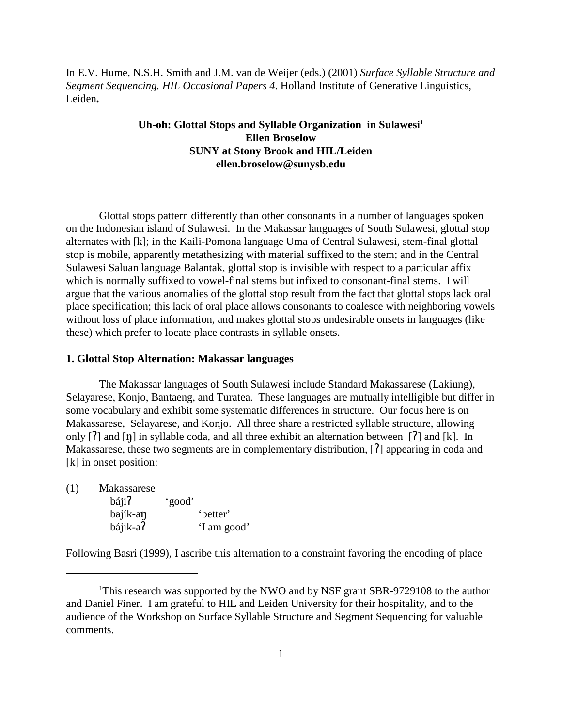In E.V. Hume, N.S.H. Smith and J.M. van de Weijer (eds.) (2001) *Surface Syllable Structure and Segment Sequencing. HIL Occasional Papers 4*. Holland Institute of Generative Linguistics, Leiden**.**

# Uh-oh: Glottal Stops and Syllable Organization in Sulawesi<sup>1</sup> **Ellen Broselow SUNY at Stony Brook and HIL/Leiden ellen.broselow@sunysb.edu**

Glottal stops pattern differently than other consonants in a number of languages spoken on the Indonesian island of Sulawesi. In the Makassar languages of South Sulawesi, glottal stop alternates with [k]; in the Kaili-Pomona language Uma of Central Sulawesi, stem-final glottal stop is mobile, apparently metathesizing with material suffixed to the stem; and in the Central Sulawesi Saluan language Balantak, glottal stop is invisible with respect to a particular affix which is normally suffixed to vowel-final stems but infixed to consonant-final stems. I will argue that the various anomalies of the glottal stop result from the fact that glottal stops lack oral place specification; this lack of oral place allows consonants to coalesce with neighboring vowels without loss of place information, and makes glottal stops undesirable onsets in languages (like these) which prefer to locate place contrasts in syllable onsets.

### **1. Glottal Stop Alternation: Makassar languages**

The Makassar languages of South Sulawesi include Standard Makassarese (Lakiung), Selayarese, Konjo, Bantaeng, and Turatea. These languages are mutually intelligible but differ in some vocabulary and exhibit some systematic differences in structure. Our focus here is on Makassarese, Selayarese, and Konjo. All three share a restricted syllable structure, allowing only  $[7]$  and  $[\eta]$  in syllable coda, and all three exhibit an alternation between  $[7]$  and  $[k]$ . In Makassarese, these two segments are in complementary distribution,  $[7]$  appearing in coda and [k] in onset position:

| (1) | Makassarese |        |             |
|-----|-------------|--------|-------------|
|     | báji?       | 'good' |             |
|     | bajík-an    |        | 'better'    |
|     | bájik-a?    |        | 'I am good' |

Following Basri (1999), I ascribe this alternation to a constraint favoring the encoding of place

<sup>&</sup>lt;sup>1</sup>This research was supported by the NWO and by NSF grant SBR-9729108 to the author and Daniel Finer. I am grateful to HIL and Leiden University for their hospitality, and to the audience of the Workshop on Surface Syllable Structure and Segment Sequencing for valuable comments.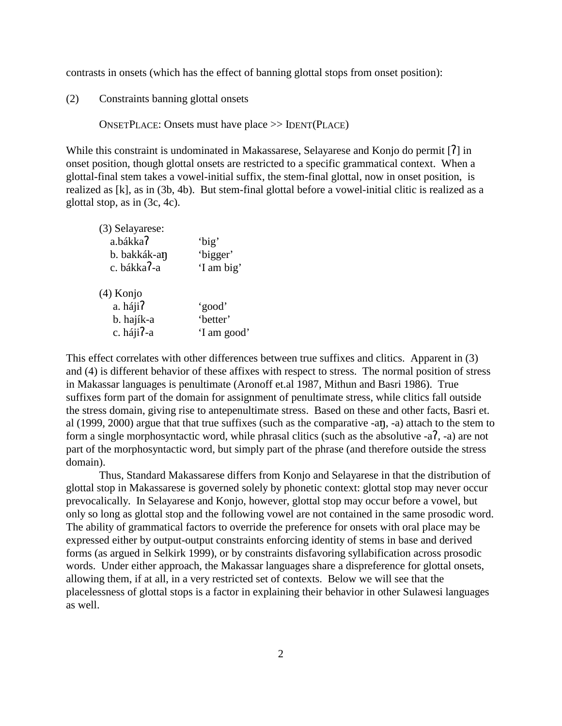contrasts in onsets (which has the effect of banning glottal stops from onset position):

(2) Constraints banning glottal onsets

ONSETPLACE: Onsets must have place >> IDENT(PLACE)

While this constraint is undominated in Makassarese, Selayarese and Konjo do permit [7] in onset position, though glottal onsets are restricted to a specific grammatical context. When a glottal-final stem takes a vowel-initial suffix, the stem-final glottal, now in onset position, is realized as [k], as in (3b, 4b). But stem-final glottal before a vowel-initial clitic is realized as a glottal stop, as in (3c, 4c).

| (3) Selayarese:<br>a.bákka?<br>b. bakkák-an<br>c. bákka?-a | 'big'<br>'bigger'<br>'I am big'   |
|------------------------------------------------------------|-----------------------------------|
| $(4)$ Konjo<br>a. háji?<br>b. hajík-a<br>c. háji?-a        | 'good'<br>'better'<br>'I am good' |

This effect correlates with other differences between true suffixes and clitics. Apparent in (3) and (4) is different behavior of these affixes with respect to stress. The normal position of stress in Makassar languages is penultimate (Aronoff et.al 1987, Mithun and Basri 1986). True suffixes form part of the domain for assignment of penultimate stress, while clitics fall outside the stress domain, giving rise to antepenultimate stress. Based on these and other facts, Basri et. al (1999, 2000) argue that that true suffixes (such as the comparative -an, -a) attach to the stem to form a single morphosyntactic word, while phrasal clitics (such as the absolutive  $-a$ ,  $-a$ ) are not part of the morphosyntactic word, but simply part of the phrase (and therefore outside the stress domain).

Thus, Standard Makassarese differs from Konjo and Selayarese in that the distribution of glottal stop in Makassarese is governed solely by phonetic context: glottal stop may never occur prevocalically. In Selayarese and Konjo, however, glottal stop may occur before a vowel, but only so long as glottal stop and the following vowel are not contained in the same prosodic word. The ability of grammatical factors to override the preference for onsets with oral place may be expressed either by output-output constraints enforcing identity of stems in base and derived forms (as argued in Selkirk 1999), or by constraints disfavoring syllabification across prosodic words. Under either approach, the Makassar languages share a dispreference for glottal onsets, allowing them, if at all, in a very restricted set of contexts. Below we will see that the placelessness of glottal stops is a factor in explaining their behavior in other Sulawesi languages as well.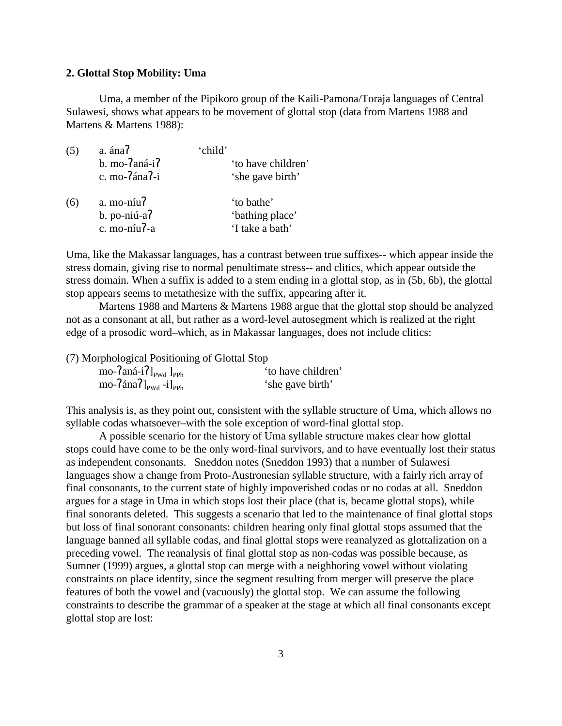### **2. Glottal Stop Mobility: Uma**

Uma, a member of the Pipikoro group of the Kaili-Pamona/Toraja languages of Central Sulawesi, shows what appears to be movement of glottal stop (data from Martens 1988 and Martens & Martens 1988):

| (5) | a. ána?<br>$b.$ mo- $7$ aná-i $7$<br>c. mo-7ána7-i              | ʻchild'<br>'to have children'<br>'she gave birth' |
|-----|-----------------------------------------------------------------|---------------------------------------------------|
| (6) | $a.$ mo-níu $\overline{a}$<br>$b.$ po-niú-a $7$<br>c. mo-níu?-a | 'to bathe'<br>'bathing place'<br>'I take a bath'  |

Uma, like the Makassar languages, has a contrast between true suffixes-- which appear inside the stress domain, giving rise to normal penultimate stress-- and clitics, which appear outside the stress domain. When a suffix is added to a stem ending in a glottal stop, as in (5b, 6b), the glottal stop appears seems to metathesize with the suffix, appearing after it.

Martens 1988 and Martens & Martens 1988 argue that the glottal stop should be analyzed not as a consonant at all, but rather as a word-level autosegment which is realized at the right edge of a prosodic word–which, as in Makassar languages, does not include clitics:

(7) Morphological Positioning of Glottal Stop

| mo- $\{2aná-i\}$ <sub>pwd</sub> $]_{PPh}$       | 'to have children' |
|-------------------------------------------------|--------------------|
| mo- $\{4na\}$ <sub>pwd</sub> -i] <sub>pph</sub> | 'she gave birth'   |

This analysis is, as they point out, consistent with the syllable structure of Uma, which allows no syllable codas whatsoever–with the sole exception of word-final glottal stop.

A possible scenario for the history of Uma syllable structure makes clear how glottal stops could have come to be the only word-final survivors, and to have eventually lost their status as independent consonants. Sneddon notes (Sneddon 1993) that a number of Sulawesi languages show a change from Proto-Austronesian syllable structure, with a fairly rich array of final consonants, to the current state of highly impoverished codas or no codas at all. Sneddon argues for a stage in Uma in which stops lost their place (that is, became glottal stops), while final sonorants deleted. This suggests a scenario that led to the maintenance of final glottal stops but loss of final sonorant consonants: children hearing only final glottal stops assumed that the language banned all syllable codas, and final glottal stops were reanalyzed as glottalization on a preceding vowel. The reanalysis of final glottal stop as non-codas was possible because, as Sumner (1999) argues, a glottal stop can merge with a neighboring vowel without violating constraints on place identity, since the segment resulting from merger will preserve the place features of both the vowel and (vacuously) the glottal stop. We can assume the following constraints to describe the grammar of a speaker at the stage at which all final consonants except glottal stop are lost: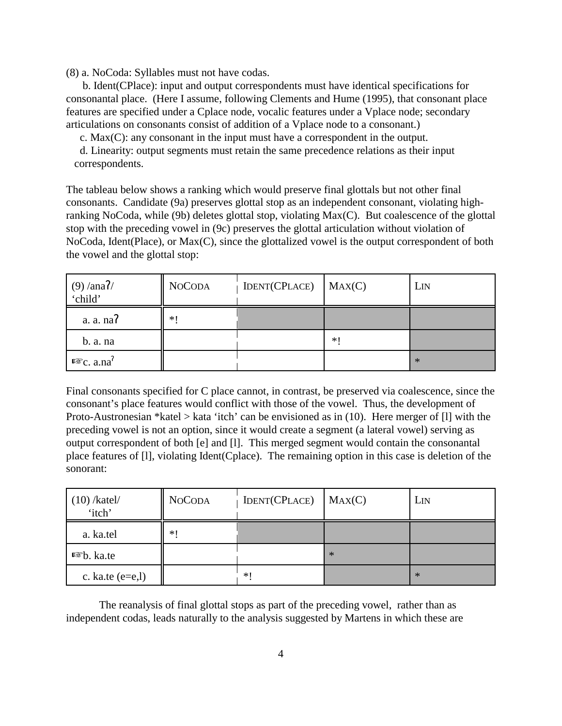(8) a. NoCoda: Syllables must not have codas.

 b. Ident(CPlace): input and output correspondents must have identical specifications for consonantal place. (Here I assume, following Clements and Hume (1995), that consonant place features are specified under a Cplace node, vocalic features under a Vplace node; secondary articulations on consonants consist of addition of a Vplace node to a consonant.)

c. Max(C): any consonant in the input must have a correspondent in the output.

 d. Linearity: output segments must retain the same precedence relations as their input correspondents.

The tableau below shows a ranking which would preserve final glottals but not other final consonants. Candidate (9a) preserves glottal stop as an independent consonant, violating highranking NoCoda, while (9b) deletes glottal stop, violating Max(C). But coalescence of the glottal stop with the preceding vowel in (9c) preserves the glottal articulation without violation of NoCoda, Ident(Place), or Max(C), since the glottalized vowel is the output correspondent of both the vowel and the glottal stop:

| $(9) / \text{ana}$ ?/<br>'child' | <b>NOCODA</b> | <b>IDENT(CPLACE)</b> | MAX(C) | L <sub>IN</sub> |
|----------------------------------|---------------|----------------------|--------|-----------------|
| a. a. na                         | $*1$          |                      |        |                 |
| b. a. na                         |               |                      | $*1$   |                 |
| $I\$ {F}c. a.na <sup>?</sup>     |               |                      |        | $*$             |

Final consonants specified for C place cannot, in contrast, be preserved via coalescence, since the consonant's place features would conflict with those of the vowel. Thus, the development of Proto-Austronesian \*katel > kata 'itch' can be envisioned as in  $(10)$ . Here merger of  $[1]$  with the preceding vowel is not an option, since it would create a segment (a lateral vowel) serving as output correspondent of both [e] and [l]. This merged segment would contain the consonantal place features of [l], violating Ident(Cplace). The remaining option in this case is deletion of the sonorant:

| $(10)$ /katel/<br>'itch' | <b>NOCODA</b> | <b>IDENT(CPLACE)</b> | MAX(C) | LIN |
|--------------------------|---------------|----------------------|--------|-----|
| a. ka.tel                | $*1$          |                      |        |     |
| <sup>■</sup> b. ka.te    |               |                      | $*$    |     |
| c. ka.te $(e=e, l)$      |               | *1                   |        | $*$ |

The reanalysis of final glottal stops as part of the preceding vowel, rather than as independent codas, leads naturally to the analysis suggested by Martens in which these are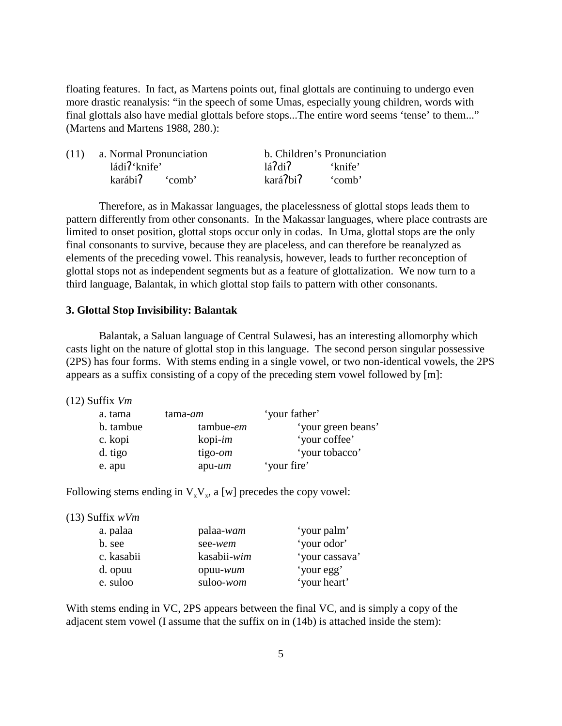floating features. In fact, as Martens points out, final glottals are continuing to undergo even more drastic reanalysis: "in the speech of some Umas, especially young children, words with final glottals also have medial glottals before stops...The entire word seems 'tense' to them..." (Martens and Martens 1988, 280.):

| (11) a. Normal Pronunciation |          | b. Children's Pronunciation |
|------------------------------|----------|-----------------------------|
| ládi?'knife'                 | 147di    | 'knife'                     |
| karábi <sup>7</sup> 'comb'   | kará?bi? | comb'                       |

Therefore, as in Makassar languages, the placelessness of glottal stops leads them to pattern differently from other consonants. In the Makassar languages, where place contrasts are limited to onset position, glottal stops occur only in codas. In Uma, glottal stops are the only final consonants to survive, because they are placeless, and can therefore be reanalyzed as elements of the preceding vowel. This reanalysis, however, leads to further reconception of glottal stops not as independent segments but as a feature of glottalization. We now turn to a third language, Balantak, in which glottal stop fails to pattern with other consonants.

### **3. Glottal Stop Invisibility: Balantak**

Balantak, a Saluan language of Central Sulawesi, has an interesting allomorphy which casts light on the nature of glottal stop in this language. The second person singular possessive (2PS) has four forms. With stems ending in a single vowel, or two non-identical vowels, the 2PS appears as a suffix consisting of a copy of the preceding stem vowel followed by [m]:

(12) Suffix *Vm*

| a. tama   | tama- <i>am</i>    | 'your father'      |
|-----------|--------------------|--------------------|
| b. tambue | tambue- <i>em</i>  | 'your green beans' |
| c. kopi   | $k$ opi- <i>im</i> | 'your coffee'      |
| d. tigo   | tigo- <i>om</i>    | 'your tobacco'     |
| e. apu    | $apu$ - <i>um</i>  | 'your fire'        |

Following stems ending in  $V_xV_x$ , a [w] precedes the copy vowel:

|  | $(13)$ Suffix wVm |  |
|--|-------------------|--|
|--|-------------------|--|

| a. palaa   | palaa-wam   | 'your palm'    |
|------------|-------------|----------------|
| b. see     | see-wem     | 'your odor'    |
| c. kasabii | kasabii-wim | 'your cassava' |
| d. opuu    | opuu-wum    | 'your egg'     |
| e. suloo   | suloo-wom   | 'your heart'   |

With stems ending in VC, 2PS appears between the final VC, and is simply a copy of the adjacent stem vowel (I assume that the suffix on in (14b) is attached inside the stem):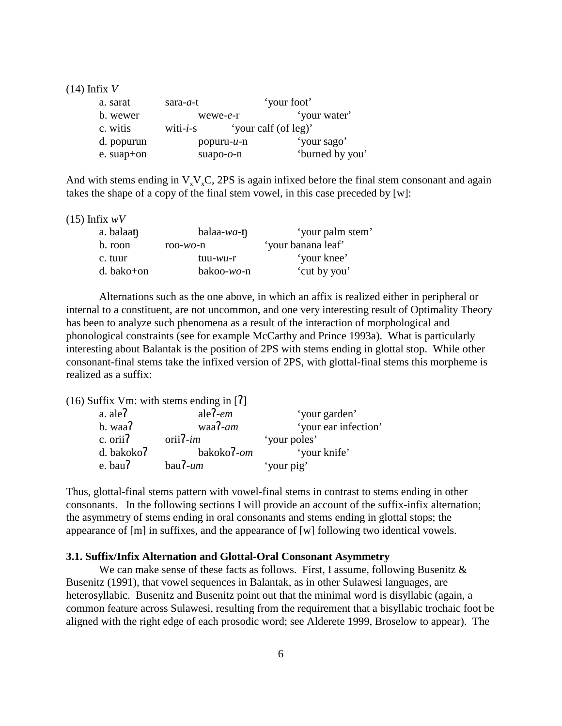(14) Infix *V*

| a. sarat   | sara- <i>a</i> -t |                   | 'your foot'          |
|------------|-------------------|-------------------|----------------------|
| b. wewer   |                   | $wewe-e-r$        | 'your water'         |
| c. witis   | witi- $i$ -s      |                   | 'your calf (of leg)' |
| d. popurun |                   | $p$ opuru- $u$ -n | 'your sago'          |
| e. suap+on |                   | suapo- $o$ -n     | 'burned by you'      |

And with stems ending in  $V_xV_xC$ , 2PS is again infixed before the final stem consonant and again takes the shape of a copy of the final stem vowel, in this case preceded by [w]:

(15) Infix *wV*

| a. balaan    | balaa-wa- $\eta$   | 'your palm stem'   |
|--------------|--------------------|--------------------|
| b. roon      | roo- $wo$ -n       | 'your banana leaf' |
| c. tuur      | $t$ uu- $w$ $u$ -r | 'your knee'        |
| $d.$ bako+on | $bakoo-wo-n$       | 'cut by you'       |

Alternations such as the one above, in which an affix is realized either in peripheral or internal to a constituent, are not uncommon, and one very interesting result of Optimality Theory has been to analyze such phenomena as a result of the interaction of morphological and phonological constraints (see for example McCarthy and Prince 1993a). What is particularly interesting about Balantak is the position of 2PS with stems ending in glottal stop. While other consonant-final stems take the infixed version of 2PS, with glottal-final stems this morpheme is realized as a suffix:

(16) Suffix Vm: with stems ending in  $[7]$ 

| a. ale?    | ale $\lambda$ -em | 'your garden'        |
|------------|-------------------|----------------------|
| b. waa?    | waa?- $am$        | 'your ear infection' |
| c. orii?   | $orii7-im$        | 'your poles'         |
| d. bakoko? | bakoko?-om        | 'your knife'         |
| e. bau?    | $bau7-um$         | 'your pig'           |

Thus, glottal-final stems pattern with vowel-final stems in contrast to stems ending in other consonants. In the following sections I will provide an account of the suffix-infix alternation; the asymmetry of stems ending in oral consonants and stems ending in glottal stops; the appearance of [m] in suffixes, and the appearance of [w] following two identical vowels.

### **3.1. Suffix/Infix Alternation and Glottal-Oral Consonant Asymmetry**

We can make sense of these facts as follows. First, I assume, following Busenitz & Busenitz (1991), that vowel sequences in Balantak, as in other Sulawesi languages, are heterosyllabic. Busenitz and Busenitz point out that the minimal word is disyllabic (again, a common feature across Sulawesi, resulting from the requirement that a bisyllabic trochaic foot be aligned with the right edge of each prosodic word; see Alderete 1999, Broselow to appear). The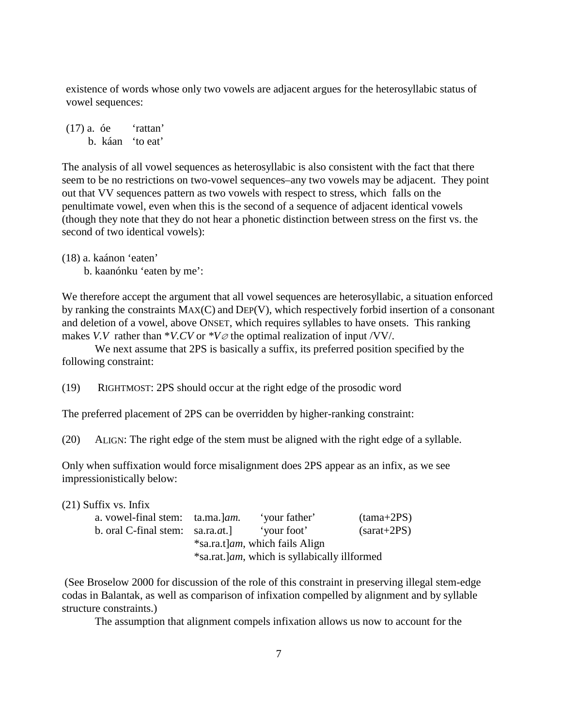existence of words whose only two vowels are adjacent argues for the heterosyllabic status of vowel sequences:

 $(17)$  a. óe 'rattan' b. káan 'to eat'

The analysis of all vowel sequences as heterosyllabic is also consistent with the fact that there seem to be no restrictions on two-vowel sequences–any two vowels may be adjacent. They point out that VV sequences pattern as two vowels with respect to stress, which falls on the penultimate vowel, even when this is the second of a sequence of adjacent identical vowels (though they note that they do not hear a phonetic distinction between stress on the first vs. the second of two identical vowels):

(18) a. kaánon 'eaten'

b. kaanónku 'eaten by me':

We therefore accept the argument that all vowel sequences are heterosyllabic, a situation enforced by ranking the constraints MAX(C) and DEP(V), which respectively forbid insertion of a consonant and deletion of a vowel, above ONSET, which requires syllables to have onsets. This ranking makes *V.V* rather than  $*V.CV$  or  $*V\varnothing$  the optimal realization of input /VV/.

We next assume that 2PS is basically a suffix, its preferred position specified by the following constraint:

(19) RIGHTMOST: 2PS should occur at the right edge of the prosodic word

The preferred placement of 2PS can be overridden by higher-ranking constraint:

(20) ALIGN: The right edge of the stem must be aligned with the right edge of a syllable.

Only when suffixation would force misalignment does 2PS appear as an infix, as we see impressionistically below:

(21) Suffix vs. Infix

| a. vowel-final stem: ta.ma. Jam.      | 'your father'                                         | $(tama+2PS)$  |
|---------------------------------------|-------------------------------------------------------|---------------|
| b. oral C-final stem: $sa, ra, at.$ ] | 'your foot'                                           | $(sarat+2PS)$ |
|                                       | *sa.ra.t] <i>am</i> , which fails Align               |               |
|                                       | *sa.rat.] <i>am</i> , which is syllabically illformed |               |

 (See Broselow 2000 for discussion of the role of this constraint in preserving illegal stem-edge codas in Balantak, as well as comparison of infixation compelled by alignment and by syllable structure constraints.)

The assumption that alignment compels infixation allows us now to account for the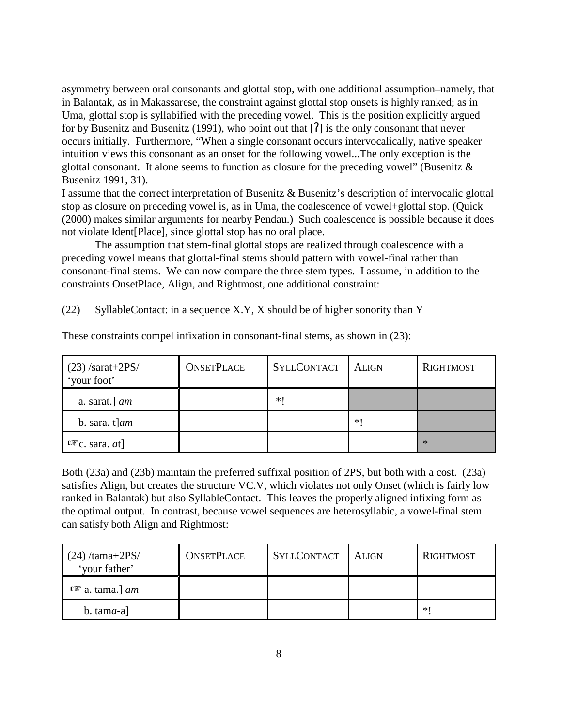asymmetry between oral consonants and glottal stop, with one additional assumption–namely, that in Balantak, as in Makassarese, the constraint against glottal stop onsets is highly ranked; as in Uma, glottal stop is syllabified with the preceding vowel. This is the position explicitly argued for by Busenitz and Busenitz (1991), who point out that  $[7]$  is the only consonant that never occurs initially. Furthermore, "When a single consonant occurs intervocalically, native speaker intuition views this consonant as an onset for the following vowel...The only exception is the glottal consonant. It alone seems to function as closure for the preceding vowel" (Busenitz  $\&$ Busenitz 1991, 31).

I assume that the correct interpretation of Busenitz & Busenitz's description of intervocalic glottal stop as closure on preceding vowel is, as in Uma, the coalescence of vowel+glottal stop. (Quick (2000) makes similar arguments for nearby Pendau.) Such coalescence is possible because it does not violate Ident[Place], since glottal stop has no oral place.

The assumption that stem-final glottal stops are realized through coalescence with a preceding vowel means that glottal-final stems should pattern with vowel-final rather than consonant-final stems. We can now compare the three stem types. I assume, in addition to the constraints OnsetPlace, Align, and Rightmost, one additional constraint:

(22) SyllableContact: in a sequence X.Y, X should be of higher sonority than Y

| $(23)$ /sarat+2PS/<br>'your foot' | <b>ONSETPLACE</b> | <b>SYLLCONTACT</b> | <b>ALIGN</b> | <b>RIGHTMOST</b> |
|-----------------------------------|-------------------|--------------------|--------------|------------------|
| a. sarat.] $am$                   |                   | * !                |              |                  |
| b. sara. $t$ ] <i>am</i>          |                   |                    | *∣           |                  |
| $R\$ c. sara. <i>at</i> ]         |                   |                    |              | ∗                |

These constraints compel infixation in consonant-final stems, as shown in (23):

Both (23a) and (23b) maintain the preferred suffixal position of 2PS, but both with a cost. (23a) satisfies Align, but creates the structure VC.V, which violates not only Onset (which is fairly low ranked in Balantak) but also SyllableContact. This leaves the properly aligned infixing form as the optimal output. In contrast, because vowel sequences are heterosyllabic, a vowel-final stem can satisfy both Align and Rightmost:

| $(24)$ /tama+2PS/<br>'your father' | <b>ONSETPLACE</b> | <b>SYLLCONTACT</b> | ALIGN | RIGHTMOST |
|------------------------------------|-------------------|--------------------|-------|-----------|
| $\mathbb{R}$ a. tama.] <i>am</i>   |                   |                    |       |           |
| b. tama-a                          |                   |                    |       | ∗         |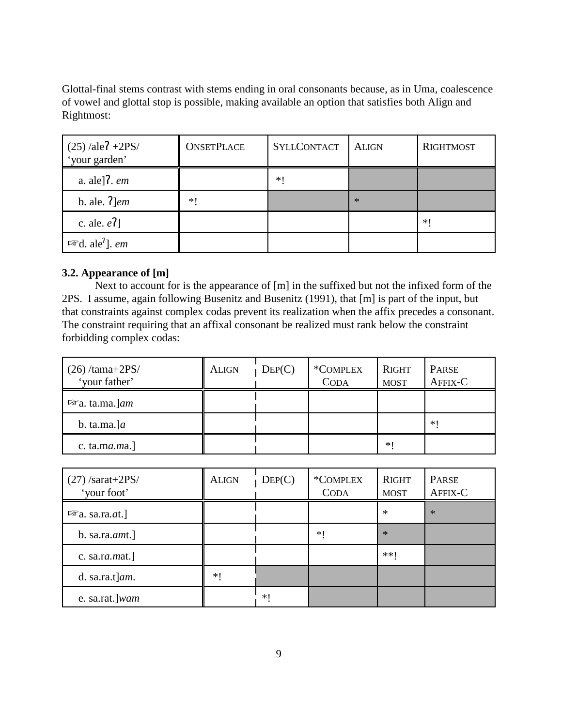Glottal-final stems contrast with stems ending in oral consonants because, as in Uma, coalescence of vowel and glottal stop is possible, making available an option that satisfies both Align and Rightmost:

| $(25)$ /ale $7 + 2PS$ /<br>'your garden' | <b>ONSETPLACE</b> | <b>SYLLCONTACT</b> | <b>ALIGN</b> | <b>RIGHTMOST</b> |
|------------------------------------------|-------------------|--------------------|--------------|------------------|
| a. ale] $\mathcal{R}$ . em               |                   | *1                 |              |                  |
| b. ale. $7$ ] <i>em</i>                  | $*1$              |                    | $*$          |                  |
| c. ale. $e7$ ]                           |                   |                    |              | $\ast$           |
| $I\$ {F}d. ale <sup>?</sup> ]. <i>em</i> |                   |                    |              |                  |

# **3.2. Appearance of [m]**

Next to account for is the appearance of [m] in the suffixed but not the infixed form of the 2PS. I assume, again following Busenitz and Busenitz (1991), that [m] is part of the input, but that constraints against complex codas prevent its realization when the affix precedes a consonant. The constraint requiring that an affixal consonant be realized must rank below the constraint forbidding complex codas:

| $(26)$ /tama+2PS/<br>'your father' | <b>ALIGN</b> | DEF(C) | *COMPLEX<br><b>CODA</b> | RIGHT<br><b>MOST</b> | PARSE<br>AFFIX-C |
|------------------------------------|--------------|--------|-------------------------|----------------------|------------------|
| $■$ a. ta.ma.]am                   |              |        |                         |                      |                  |
| b. ta.ma.] $a$                     |              |        |                         |                      | ∗∣               |
| c. ta.ma. $ma$ .]                  |              |        |                         | $*1$                 |                  |

| $(27)$ /sarat+2PS/<br>'your foot'   | <b>ALIGN</b> | DEF(C) | *COMPLEX<br><b>CODA</b> | <b>RIGHT</b><br><b>MOST</b> | PARSE<br>AFFIX-C |
|-------------------------------------|--------------|--------|-------------------------|-----------------------------|------------------|
| $\mathbb{F}a$ . sa.ra. <i>at</i> .] |              |        |                         | $\ast$                      | $\ast$           |
| b. sa.ra. $amt.$ ]                  |              |        | $*1$                    | $*$                         |                  |
| c. sa.ra. $m$ at.]                  |              |        |                         | **!                         |                  |
| d. sa.ra.t $\vert$ <i>am</i> .      | ∗∣           |        |                         |                             |                  |
| e. sa.rat.]wam                      |              | *1     |                         |                             |                  |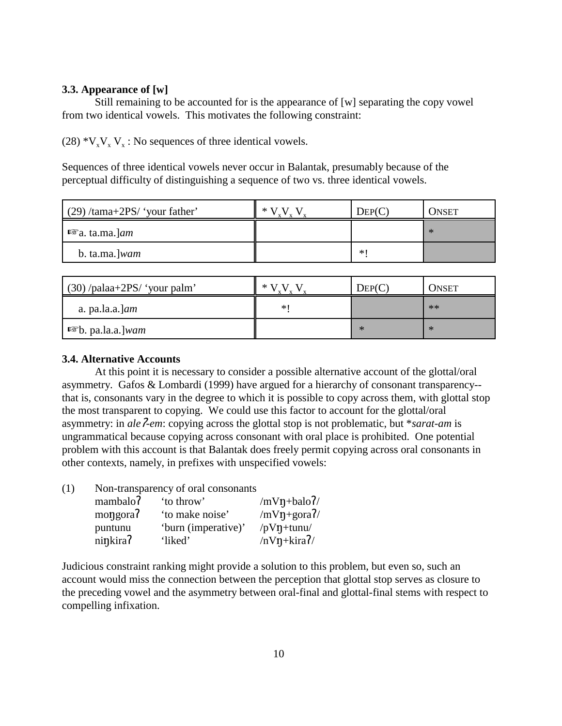## **3.3. Appearance of [w]**

Still remaining to be accounted for is the appearance of [w] separating the copy vowel from two identical vowels. This motivates the following constraint:

 $(28) *V_vV_v$  V<sub>x</sub>: No sequences of three identical vowels.

Sequences of three identical vowels never occur in Balantak, presumably because of the perceptual difficulty of distinguishing a sequence of two vs. three identical vowels.

| $(29)$ /tama+2PS/ 'your father'     | ∗ | DEF(C) | ONSET |
|-------------------------------------|---|--------|-------|
| $\mathbb{F}_a$ . ta.ma. J <i>am</i> |   |        | ∗     |
| b. ta.ma.] <i>wam</i>               |   | *∣     |       |

| $(30)$ /palaa+2PS/ 'your palm'   | *    | $\text{Dep}(C)$ | Onset |
|----------------------------------|------|-----------------|-------|
| a. $pa.l.a.l$                    | $*1$ |                 | $**$  |
| <b>■ b.</b> pa.la.a.] <i>wam</i> |      | ∗               | ∗     |

## **3.4. Alternative Accounts**

At this point it is necessary to consider a possible alternative account of the glottal/oral asymmetry. Gafos & Lombardi (1999) have argued for a hierarchy of consonant transparency- that is, consonants vary in the degree to which it is possible to copy across them, with glottal stop the most transparent to copying. We could use this factor to account for the glottal/oral asymmetry: in *ale-em*: copying across the glottal stop is not problematic, but \**sarat-am* is ungrammatical because copying across consonant with oral place is prohibited. One potential problem with this account is that Balantak does freely permit copying across oral consonants in other contexts, namely, in prefixes with unspecified vowels:

(1) Non-transparency of oral consonants

| mambalo? | 'to throw'          | /mV $\eta$ +balo?/        |
|----------|---------------------|---------------------------|
| mongora? | 'to make noise'     | $/mV\eta + g\sigma a^2$ / |
| puntunu  | 'burn (imperative)' | /p $V\eta$ +tunu/         |
| ninkira? | 'liked'             | $/nV\eta+ kira$ ?/        |

Judicious constraint ranking might provide a solution to this problem, but even so, such an account would miss the connection between the perception that glottal stop serves as closure to the preceding vowel and the asymmetry between oral-final and glottal-final stems with respect to compelling infixation.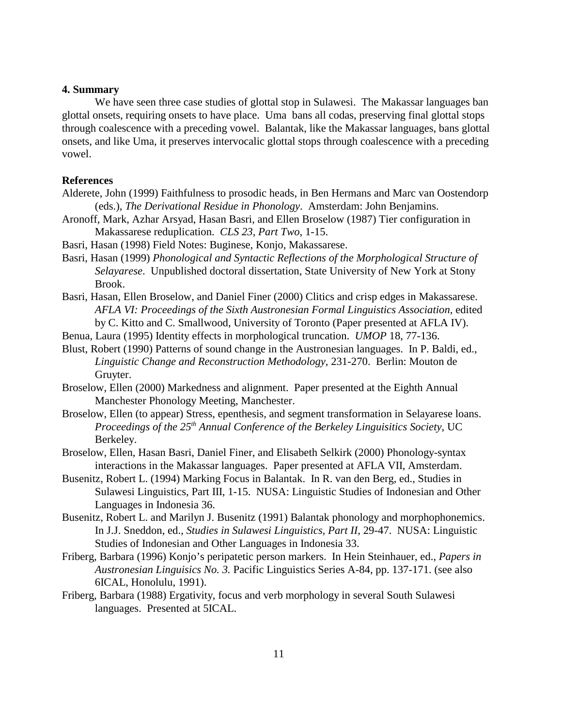### **4. Summary**

We have seen three case studies of glottal stop in Sulawesi. The Makassar languages ban glottal onsets, requiring onsets to have place. Uma bans all codas, preserving final glottal stops through coalescence with a preceding vowel. Balantak, like the Makassar languages, bans glottal onsets, and like Uma, it preserves intervocalic glottal stops through coalescence with a preceding vowel.

#### **References**

- Alderete, John (1999) Faithfulness to prosodic heads, in Ben Hermans and Marc van Oostendorp (eds.), *The Derivational Residue in Phonology*. Amsterdam: John Benjamins.
- Aronoff, Mark, Azhar Arsyad, Hasan Basri, and Ellen Broselow (1987) Tier configuration in Makassarese reduplication. *CLS 23, Part Two*, 1-15.
- Basri, Hasan (1998) Field Notes: Buginese, Konjo, Makassarese.
- Basri, Hasan (1999) *Phonological and Syntactic Reflections of the Morphological Structure of Selayarese*. Unpublished doctoral dissertation, State University of New York at Stony Brook.
- Basri, Hasan, Ellen Broselow, and Daniel Finer (2000) Clitics and crisp edges in Makassarese. *AFLA VI: Proceedings of the Sixth Austronesian Formal Linguistics Association*, edited by C. Kitto and C. Smallwood, University of Toronto (Paper presented at AFLA IV).
- Benua, Laura (1995) Identity effects in morphological truncation. *UMOP* 18, 77-136.
- Blust, Robert (1990) Patterns of sound change in the Austronesian languages. In P. Baldi, ed., *Linguistic Change and Reconstruction Methodology*, 231-270. Berlin: Mouton de Gruyter.
- Broselow, Ellen (2000) Markedness and alignment. Paper presented at the Eighth Annual Manchester Phonology Meeting, Manchester.
- Broselow, Ellen (to appear) Stress, epenthesis, and segment transformation in Selayarese loans. *Proceedings of the 25th Annual Conference of the Berkeley Linguisitics Society*, UC Berkeley.
- Broselow, Ellen, Hasan Basri, Daniel Finer, and Elisabeth Selkirk (2000) Phonology-syntax interactions in the Makassar languages. Paper presented at AFLA VII, Amsterdam.
- Busenitz, Robert L. (1994) Marking Focus in Balantak. In R. van den Berg, ed., Studies in Sulawesi Linguistics, Part III, 1-15. NUSA: Linguistic Studies of Indonesian and Other Languages in Indonesia 36.
- Busenitz, Robert L. and Marilyn J. Busenitz (1991) Balantak phonology and morphophonemics. In J.J. Sneddon, ed., *Studies in Sulawesi Linguistics, Part II*, 29-47. NUSA: Linguistic Studies of Indonesian and Other Languages in Indonesia 33.
- Friberg, Barbara (1996) Konjo's peripatetic person markers. In Hein Steinhauer, ed., *Papers in Austronesian Linguisics No. 3.* Pacific Linguistics Series A-84, pp. 137-171. (see also 6ICAL, Honolulu, 1991).
- Friberg, Barbara (1988) Ergativity, focus and verb morphology in several South Sulawesi languages. Presented at 5ICAL.